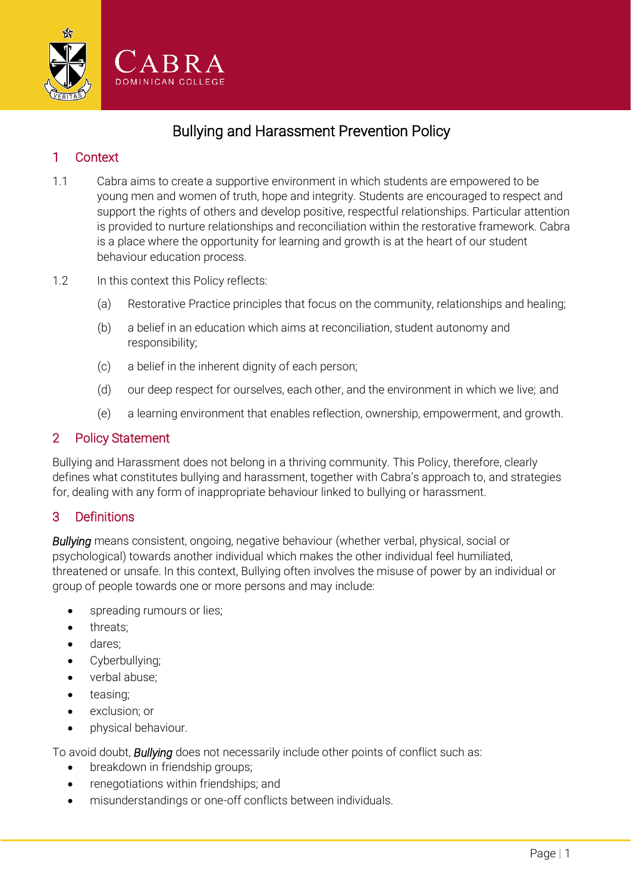

# Bullying and Harassment Prevention Policy

## 1 Context

- 1.1 Cabra aims to create a supportive environment in which students are empowered to be young men and women of truth, hope and integrity. Students are encouraged to respect and support the rights of others and develop positive, respectful relationships. Particular attention is provided to nurture relationships and reconciliation within the restorative framework. Cabra is a place where the opportunity for learning and growth is at the heart of our student behaviour education process.
- 1.2 In this context this Policy reflects:
	- (a) Restorative Practice principles that focus on the community, relationships and healing;
	- (b) a belief in an education which aims at reconciliation, student autonomy and responsibility;
	- (c) a belief in the inherent dignity of each person;
	- (d) our deep respect for ourselves, each other, and the environment in which we live; and
	- (e) a learning environment that enables reflection, ownership, empowerment, and growth.

#### 2 Policy Statement

Bullying and Harassment does not belong in a thriving community. This Policy, therefore, clearly defines what constitutes bullying and harassment, together with Cabra's approach to, and strategies for, dealing with any form of inappropriate behaviour linked to bullying or harassment.

## 3 Definitions

*Bullying* meansconsistent, ongoing, negative behaviour (whether verbal, physical, social or psychological) towards another individual which makes the other individual feel humiliated, threatened or unsafe. In this context, Bullying often involves the misuse of power by an individual or group of people towards one or more persons and may include:

- spreading rumours or lies;
- threats;
- dares;
- Cyberbullying;
- verbal abuse;
- teasing;
- exclusion; or
- physical behaviour.

To avoid doubt, *Bullying* does not necessarily include other points of conflict such as:

- breakdown in friendship groups;
- renegotiations within friendships; and
- misunderstandings or one-off conflicts between individuals.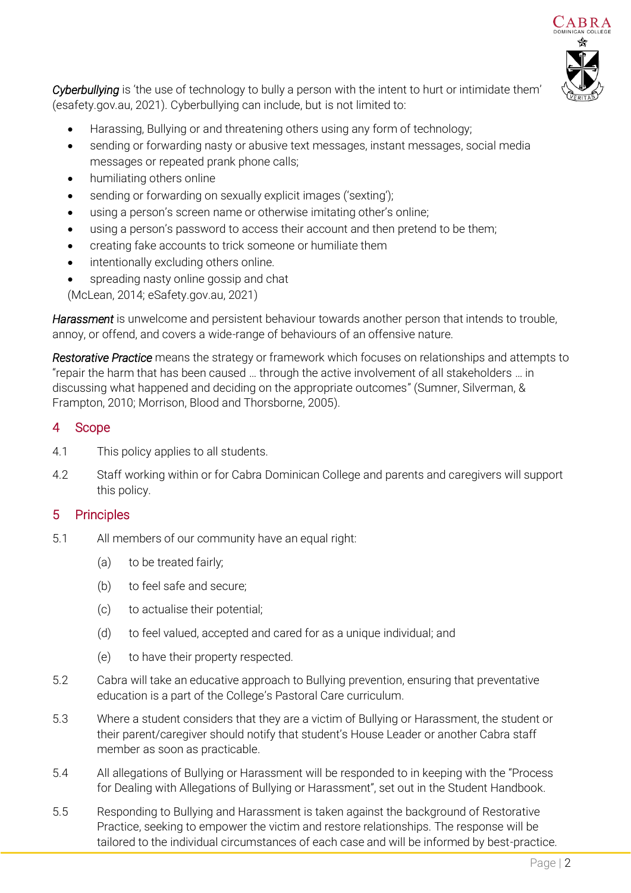

*Cyberbullying* is 'the use of technology to bully a person with the intent to hurt or intimidate them' (esafety.gov.au, 2021). Cyberbullying can include, but is not limited to:

- Harassing, Bullying or and threatening others using any form of technology;
- sending or forwarding nasty or abusive text messages, instant messages, social media messages or repeated prank phone calls;
- humiliating others online
- sending or forwarding on sexually explicit images ('sexting');
- using a person's screen name or otherwise imitating other's online;
- using a person's password to access their account and then pretend to be them;
- creating fake accounts to trick someone or humiliate them
- intentionally excluding others online.
- spreading nasty online gossip and chat

(McLean, 2014; eSafety.gov.au, 2021)

*Harassment* is unwelcome and persistent behaviour towards another person that intends to trouble, annoy, or offend, and covers a wide-range of behaviours of an offensive nature.

*Restorative Practice* means the strategy or framework which focuses on relationships and attempts to "repair the harm that has been caused … through the active involvement of all stakeholders … in discussing what happened and deciding on the appropriate outcomes" (Sumner, Silverman, & Frampton, 2010; Morrison, Blood and Thorsborne, 2005).

#### 4 Scope

- 4.1 This policy applies to all students.
- 4.2 Staff working within or for Cabra Dominican College and parents and caregivers will support this policy.

## 5 Principles

- 5.1 All members of our community have an equal right:
	- (a) to be treated fairly;
	- (b) to feel safe and secure;
	- (c) to actualise their potential;
	- (d) to feel valued, accepted and cared for as a unique individual; and
	- (e) to have their property respected.
- 5.2 Cabra will take an educative approach to Bullying prevention, ensuring that preventative education is a part of the College's Pastoral Care curriculum.
- 5.3 Where a student considers that they are a victim of Bullying or Harassment, the student or their parent/caregiver should notify that student's House Leader or another Cabra staff member as soon as practicable.
- 5.4 All allegations of Bullying or Harassment will be responded to in keeping with the "Process for Dealing with Allegations of Bullying or Harassment", set out in the Student Handbook.
- 5.5 Responding to Bullying and Harassment is taken against the background of Restorative Practice, seeking to empower the victim and restore relationships. The response will be tailored to the individual circumstances of each case and will be informed by best-practice.